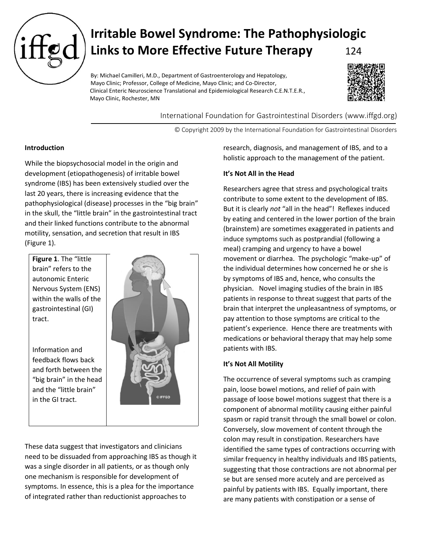

# **Irritable Bowel Syndrome: The Pathophysiologic Links to More Effective Future Therapy** 124

By: Michael Camilleri, M.D., Department of Gastroenterology and Hepatology, Mayo Clinic; Professor, College of Medicine, Mayo Clinic; and Co-Director, Clinical Enteric Neuroscience Translational and Epidemiological Research C.E.N.T.E.R., Mayo Clinic, Rochester, MN



International Foundation for Gastrointestinal Disorders (www.iffgd.org)

© Copyright 2009 by the International Foundation for Gastrointestinal Disorders

# **Introduction**

While the biopsychosocial model in the origin and development (etiopathogenesis) of irritable bowel syndrome (IBS) has been extensively studied over the last 20 years, there is increasing evidence that the pathophysiological (disease) processes in the "big brain" in the skull, the "little brain" in the gastrointestinal tract and their linked functions contribute to the abnormal motility, sensation, and secretion that result in IBS (Figure 1).

**Figure 1**. The "little brain" refers to the autonomic Enteric Nervous System (ENS) within the walls of the gastrointestinal (GI) tract.

Information and feedback flows back and forth between the "big brain" in the head and the "little brain" in the GI tract.



These data suggest that investigators and clinicians need to be dissuaded from approaching IBS as though it was a single disorder in all patients, or as though only one mechanism is responsible for development of symptoms. In essence, this is a plea for the importance of integrated rather than reductionist approaches to

research, diagnosis, and management of IBS, and to a holistic approach to the management of the patient.

# **It's Not All in the Head**

Researchers agree that stress and psychological traits contribute to some extent to the development of IBS. But it is clearly *not* "all in the head"! Reflexes induced by eating and centered in the lower portion of the brain (brainstem) are sometimes exaggerated in patients and induce symptoms such as postprandial (following a meal) cramping and urgency to have a bowel movement or diarrhea. The psychologic "make-up" of the individual determines how concerned he or she is by symptoms of IBS and, hence, who consults the physician. Novel imaging studies of the brain in IBS patients in response to threat suggest that parts of the brain that interpret the unpleasantness of symptoms, or pay attention to those symptoms are critical to the patient's experience. Hence there are treatments with medications or behavioral therapy that may help some patients with IBS.

# **It's Not All Motility**

The occurrence of several symptoms such as cramping pain, loose bowel motions, and relief of pain with passage of loose bowel motions suggest that there is a component of abnormal motility causing either painful spasm or rapid transit through the small bowel or colon. Conversely, slow movement of content through the colon may result in constipation. Researchers have identified the same types of contractions occurring with similar frequency in healthy individuals and IBS patients, suggesting that those contractions are not abnormal per se but are sensed more acutely and are perceived as painful by patients with IBS. Equally important, there are many patients with constipation or a sense of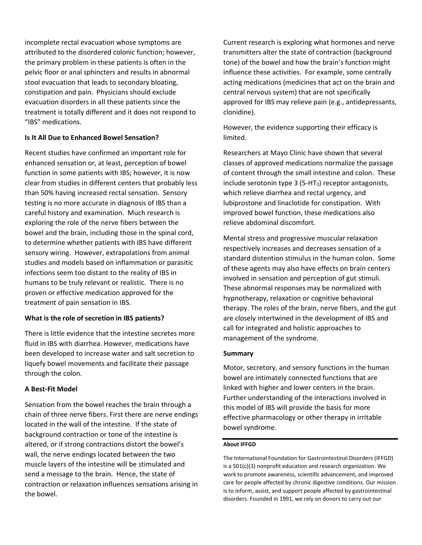incomplete rectal evacuation whose symptoms are attributed to the disordered colonic function; however, the primary problem in these patients is often in the pelvic floor or anal sphincters and results in abnormal stool evacuation that leads to secondary bloating, constipation and pain. Physicians should exclude evacuation disorders in all these patients since the treatment is totally different and it does not respond to "IBS" medications.

# **Is It All Due to Enhanced Bowel Sensation?**

Recent studies have confirmed an important role for enhanced sensation or, at least, perception of bowel function in some patients with IBS; however, it is now clear from studies in different centers that probably less than 50% having increased rectal sensation. Sensory testing is no more accurate in diagnosis of IBS than a careful history and examination. Much research is exploring the role of the nerve fibers between the bowel and the brain, including those in the spinal cord, to determine whether patients with IBS have different sensory wiring. However, extrapolations from animal studies and models based on inflammation or parasitic infections seem too distant to the reality of IBS in humans to be truly relevant or realistic. There is no proven or effective medication approved for the treatment of pain sensation in IBS.

### **What is the role of secretion in IBS patients?**

There is little evidence that the intestine secretes more fluid in IBS with diarrhea. However, medications have been developed to increase water and salt secretion to liquefy bowel movements and facilitate their passage through the colon.

### **A Best-Fit Model**

Sensation from the bowel reaches the brain through a chain of three nerve fibers. First there are nerve endings located in the wall of the intestine. If the state of background contraction or tone of the intestine is altered, or if strong contractions distort the bowel's wall, the nerve endings located between the two muscle layers of the intestine will be stimulated and send a message to the brain. Hence, the state of contraction or relaxation influences sensations arising in the bowel.

Current research is exploring what hormones and nerve transmitters alter the state of contraction (background tone) of the bowel and how the brain's function might influence these activities. For example, some centrally acting medications (medicines that act on the brain and central nervous system) that are not specifically approved for IBS may relieve pain (e.g., antidepressants, clonidine).

However, the evidence supporting their efficacy is limited.

Researchers at Mayo Clinic have shown that several classes of approved medications normalize the passage of content through the small intestine and colon. These include serotonin type  $3$  (5-HT<sub>3</sub>) receptor antagonists, which relieve diarrhea and rectal urgency, and lubiprostone and linaclotide for constipation. With improved bowel function, these medications also relieve abdominal discomfort.

Mental stress and progressive muscular relaxation respectively increases and decreases sensation of a standard distention stimulus in the human colon. Some of these agents may also have effects on brain centers involved in sensation and perception of gut stimuli. These abnormal responses may be normalized with hypnotherapy, relaxation or cognitive behavioral therapy. The roles of the brain, nerve fibers, and the gut are closely intertwined in the development of IBS and call for integrated and holistic approaches to management of the syndrome.

### **Summary**

Motor, secretory, and sensory functions in the human bowel are intimately connected functions that are linked with higher and lower centers in the brain. Further understanding of the interactions involved in this model of IBS will provide the basis for more effective pharmacology or other therapy in irritable bowel syndrome.

# **About IFFGD**

The International Foundation for Gastrointestinal Disorders (IFFGD) is a 501(c)(3) nonprofit education and research organization. We work to promote awareness, scientific advancement, and improved care for people affected by chronic digestive conditions. Our mission is to inform, assist, and support people affected by gastrointestinal disorders. Founded in 1991, we rely on donors to carry out our